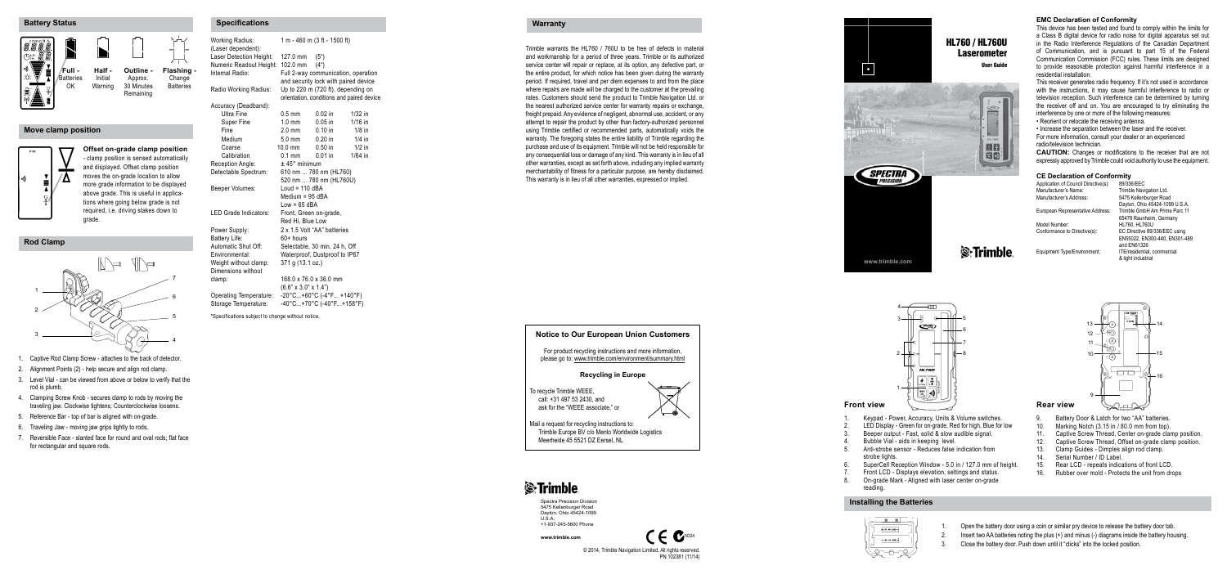- 1. Captive Rod Clamp Screw attaches to the back of detector.
- 2. Alignment Points (2) help secure and align rod clamp.
- 3. Level Vial can be viewed from above or below to verify that the rod is plumb.
- 4. Clamping Screw Knob secures clamp to rods by moving the traveling jaw. Clockwise tightens; Counterclockwise loosens.
- 5. Reference Bar top of bar is aligned with on-grade.
- 6. Traveling Jaw moving jaw grips tightly to rods.
- 7. Reversible Face slanted face for round and oval rods; flat face for rectangular and square rods.

# HL760 / HL760U **Laserometer**

1. Keypad - Power, Accuracy, Units & Volume switches.<br>2. LED Display - Green for on-grade. Red for high. Blue for 2. LED Display - Green for on-grade, Red for high, Blue for low<br>3. Beener output - East, solid & slow audible signal 3. Beeper output - Fast, solid & slow audible signal.

4. Bubble Vial - aids in keeping level.<br>5. Anti-strobe sensor - Reduces false Anti-strobe sensor - Reduces false indication from strobe lights.

- SuperCell Reception Window 5.0 in / 127.0 mm of height. 7. Front LCD - Displays elevation, settings and status.<br>8. On-grade Mark - Aligned with laser center on-grade
	- 8. On-grade Mark Aligned with laser center on-grade reading.

**www.trimble.com**

User Guide



| <b>Working Radius:</b>                      | 1 m - 460 m (3 ft - 1500 ft)                                                |                                    |                                           |  |
|---------------------------------------------|-----------------------------------------------------------------------------|------------------------------------|-------------------------------------------|--|
| (Laser dependent):                          |                                                                             |                                    |                                           |  |
| Laser Detection Height:                     | 127.0 mm                                                                    | (5 <sup>°</sup> )                  |                                           |  |
| Numeric Readout Height:                     | 102.0 mm                                                                    | (4 <sup>°</sup> )                  |                                           |  |
| Internal Radio:                             | Full 2-way communication, operation<br>and security lock with paired device |                                    |                                           |  |
|                                             |                                                                             |                                    |                                           |  |
| Radio Working Radius:                       |                                                                             | Up to 220 m (720 ft), depending on | orientation, conditions and paired device |  |
| Accuracy (Deadband):                        |                                                                             |                                    |                                           |  |
| <b>Ultra Fine</b>                           | $0.5$ mm                                                                    | $0.02$ in                          | $1/32$ in                                 |  |
| Super Fine                                  | $1.0 \text{ mm}$                                                            | $0.05$ in                          | $1/16$ in                                 |  |
| Fine                                        | $2.0 \text{ mm}$                                                            | $0.10$ in                          | $1/8$ in                                  |  |
| Medium                                      | $50 \text{ mm}$                                                             | $0.20$ in                          | $1/4$ in                                  |  |
| Coarse                                      | $10.0$ mm                                                                   | $0.50$ in                          | $1/2$ in                                  |  |
| Calibration                                 | $0.1$ mm                                                                    | $0.01$ in                          | $1/64$ in                                 |  |
| Reception Angle:                            | $±$ 45 $^{\circ}$ minimum                                                   |                                    |                                           |  |
| Detectable Spectrum:                        | 610 nm  780 nm (HL760)                                                      |                                    |                                           |  |
|                                             |                                                                             | 520 nm  780 nm (HL760U)            |                                           |  |
| Beeper Volumes:                             | Loud = $110$ dBA                                                            |                                    |                                           |  |
|                                             | Medium = 95 dBA                                                             |                                    |                                           |  |
|                                             | $Low = 65$ dBA                                                              |                                    |                                           |  |
| I ED Grade Indicators:                      | Front, Green on-grade,                                                      |                                    |                                           |  |
|                                             | Red Hi. Blue Low                                                            |                                    |                                           |  |
| Power Supply:                               | 2 x 1.5 Volt "AA" batteries                                                 |                                    |                                           |  |
| Battery Life:                               | $60+$ hours                                                                 |                                    |                                           |  |
| Automatic Shut Off:                         | Selectable, 30 min, 24 h, Off                                               |                                    |                                           |  |
| Environmental:                              | Waterproof, Dustproof to IP67<br>371 g (13.1 oz.)                           |                                    |                                           |  |
| Weight without clamp:<br>Dimensions without |                                                                             |                                    |                                           |  |
| clamp:                                      |                                                                             | 168.0 x 76.0 x 36.0 mm             |                                           |  |
|                                             | $(6.6" \times 3.0" \times 1.4")$                                            |                                    |                                           |  |
| Operating Temperature:                      |                                                                             |                                    |                                           |  |
| Storage Temperature:                        | $-20^{\circ}$ C+60°C (-4°F +140°F)<br>-40°C+70°C (-40°F+158°F)              |                                    |                                           |  |
|                                             |                                                                             |                                    |                                           |  |

\*Specifications subject to change without notice.

Application of Council Directive(s):<br>Manufacturer's Name: Manufacturer's Name: Trimble Navigation Ltd.

European Representative Address:

Model Number:<br>Conformance to Directive(s): FC Directive 89/3

Trimble warrants the HL760 / 760U to be free of defects in material and workmanship for a period of three years. Trimble or its authorized service center will repair or replace, at its option, any defective part, or the entire product, for which notice has been given during the warranty period. If required, travel and per diem expenses to and from the place where repairs are made will be charged to the customer at the prevailing rates. Customers should send the product to Trimble Navigation Ltd. or the nearest authorized service center for warranty repairs or exchange, freight prepaid. Any evidence of negligent, abnormal use, accident, or any attempt to repair the product by other than factory-authorized personnel using Trimble certified or recommended parts, automatically voids the warranty. The foregoing states the entire liability of Trimble regarding the purchase and use of its equipment. Trimble will not be held responsible for any consequential loss or damage of any kind. This warranty is in lieu of all other warranties, except as set forth above, including any implied warranty merchantability of fitness for a particular purpose, are hereby disclaimed. This warranty is in lieu of all other warranties, expressed or implied.

5475 Kellenburger Road Dayton, Ohio 45424-1099 U.S.A. 65479 Raunheim, Germany EC Directive 89/336/EEC using EN55022, EN300-440, EN301-489 and EN61326<br>ITE/residential, commercial & light industrial

# *S*Trimble

Equipment Type/Environment:

#### **Battery Status**

**Rod Clamp**

#### **Move clamp position**





# **S**: Trimble



- 1. Open the battery door using a coin or similar pry device to release the battery door tab.
- 2. Insert two AA batteries noting the plus (+) and minus (-) diagrams inside the battery housing.
- 3. Close the battery door. Push down until it "clicks" into the locked position.

Spectra Precision Division 5475 Kellenburger Road Dayton, Ohio 45424-1099 U.S.A.

+1-937-245-5600 Phone **www.trimble.com**

> © 2014, Trimble Navigation Limited. All rights reserved. PN 102381 (11/14)



| Specifications | Warranty |
|----------------|----------|
|                |          |

#### **Installing the Batteries**







**Offset on-grade clamp position** - clamp position is sensed automatically and displayed. Offset clamp position moves the on-grade location to allow more grade information to be displayed above grade. This is useful in applica tions where going below grade is not required, i.e. driving stakes down to grade.

**Flashing -** Change Batteries





#### **EMC Declaration of Conformity**

This device has been tested and found to comply within the limits for a Class B digital device for radio noise for digital apparatus set out in the Radio Interference Regulations of the Canadian Department of Communication, and is pursuant to part 15 of the Federal Communication Commission (FCC) rules. These limits are designed to provide reasonable protection against harmful interference in a residential installation.

This receiver generates radio frequency. If it's not used in accordance with the instructions, it may cause harmful interference to radio or television reception. Such interference can be determined by turning the receiver off and on. You are encouraged to try eliminating the interference by one or more of the following measures:

- Reorient or relocate the receiving antenna.
- Increase the separation between the laser and the receiver.
- For more information, consult your dealer or an experienced radio/television technician.

**CAUTION:** Changes or modifications to the receiver that are not expressly approved by Trimble could void authority to use the equipment.

# **CE Declaration of Conformity**<br>Annlication of Council Directive(s): 89/336/FFC



- 9. Battery Door & Latch for two "AA" batteries.<br>10. Marking Notch (3.15 in / 80.0 mm from top).
- 10. Marking Notch (3.15 in / 80.0 mm from top).<br>11 Cantive Screw Thread Center on-grade clar
- 11. Captive Screw Thread, Center on-grade clamp position.<br>12. Captive Screw Thread, Offset on-grade clamp position.
- 12. Captive Screw Thread, Offset on-grade clamp position.<br>13. Clamp Guides Dimples align rod clamp.
- 13. Clamp Guides Dimples align rod clamp.<br>14. Serial Number / ID Label
- 14. Serial Number / ID Label.<br>15. Rear I CD repeats indic:
- 15. Rear LCD repeats indications of front LCD.<br>16. Rubber over mold Protects the unit from dro
- Rubber over mold Protects the unit from drops
- 
-